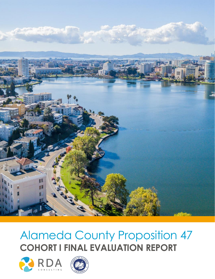

# Alameda County Proposition 47 **COHORT I FINAL EVALUATION REPORT**



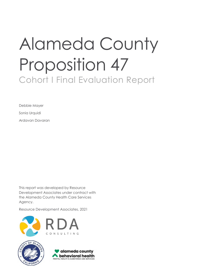# Alameda County Proposition 47 Cohort I Final Evaluation Report

Debbie Mayer Sonia Urquidi Ardavan Davaran

This report was developed by Resource Development Associates under contract with the Alameda County Health Care Services Agency.

Resource Development Associates, 2021





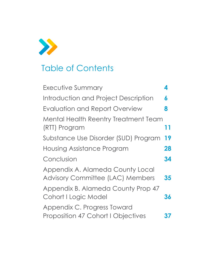

# Table of Contents

| Executive Summary                                                           | 4  |
|-----------------------------------------------------------------------------|----|
| Introduction and Project Description                                        | 6  |
| Evaluation and Report Overview                                              | 8  |
| <b>Mental Health Reentry Treatment Team</b><br>(RTT) Program                | 11 |
| Substance Use Disorder (SUD) Program                                        | 19 |
| Housing Assistance Program                                                  | 28 |
| Conclusion                                                                  | 34 |
| Appendix A. Alameda County Local<br><b>Advisory Committee (LAC) Members</b> | 35 |
| Appendix B. Alameda County Prop 47<br>Cohort I Logic Model                  | 36 |
| Appendix C. Progress Toward<br><b>Proposition 47 Cohort I Objectives</b>    | 37 |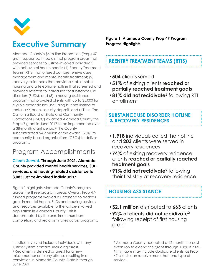

# <span id="page-3-0"></span>**Executive Summary**

Alameda County's \$6 million Proposition (Prop) 47 grant supported three distinct program areas that provided services to justice-involved individuals<sup>1</sup> with behavioral health needs: (1) Reentry Treatment Teams (RTTs) that offered comprehensive case management and mental health treatment; (2) recovery residences that provided stable, sober housing and a telephone hotline that screened and provided referrals to individuals for substance use disorders (SUDs); and (3) a housing assistance program that provided clients with up to \$5,000 for eligible expenditures, including but not limited to rental assistance, security deposit, and utilities. The California Board of State and Community Corrections (BSCC) awarded Alameda County the Prop 47 grant in June 2017 to be implemented over a 38-month grant period.<sup>3</sup> The County subcontracted \$4.2 million of the award (70%) to community-based organizations (CBOs) to deliver programs.

### Program Accomplishments

**Clients Served. Through June 2021, Alameda County provided mental health services, SUD services, and housing-related assistance to 3,085 justice-involved individuals. 4**

[Figure 1](#page-3-1) highlights Alameda County's progress across the three program areas. Overall, Prop 47 funded programs worked as intended to address gaps in mental health, SUDs and housing services and resources available to the justice-involved population in Alameda County. This is demonstrated by the enrollment numbers, completion, and recidivism rates across programs.

 $\overline{a}$ 

<span id="page-3-1"></span>**Figure 1. Alameda County Prop 47 Program Progress Highlights**

#### **REENTRY TREATMENT TEAMS (RTTS)**

- •**504** clients served
- •**51%** of exiting clients **reached or partially reached treatment goals**
- **•81% did not recidivate**<sup>2</sup> following RTT enrollment

#### **SUBSTANCE USE DISORDER HOTLINE ll& RECOVERY RESIDENCES**

- •**1,918** individuals called the hotline and **203** clients were served in recovery residences
- •**74%** of exiting recovery residence clients **reached or partially reached treatment goals**
- •**91% did not recidivate<sup>2</sup>** following their first stay at recovery residence

### **HOUSING ASSISTANCE**

- •**\$2.1 million** distributed to **663** clients
- •**92% of clients did not recidivate<sup>2</sup>** following receipt of first housing grant

<sup>&</sup>lt;sup>1</sup> Justice-involved includes individuals with any justice system contact, including arrest. <sup>2</sup> Recidivism is defined as arrest for a new misdemeanor or felony offense resulting in a conviction in Alameda County. Data is through June 2021.

<sup>3</sup> Alameda County accepted a 12-month, no-cost extension to extend the grant through August 2021. <sup>4</sup> This figure may include duplicate clients, as Prop 47 clients can receive more than one type of service.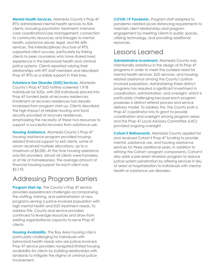**Mental Health Services.** Alameda County's Prop 47 RTTs administered mental health services to 504 clients, including psychiatric treatment; intensive care coordination/case management; connection to community resources; and linkages to mental health, substance abuse, legal, and life skills services. The interdisciplinary structure of RTTs supported client success, particularly by linking clients to peer counselors who have shared lived experience in the behavioral health and criminal justice systems. Clients reported valuing their relationships with RTT staff members and described Prop 47 RTTs as a stable support in their lives.

**Substance Use Disorder (SUD) Services.** Alameda County's Prop 47 SUD hotline screened 1,918 individuals for SUDs, with 203 individuals placed into Prop 47-funded beds at recovery residences. Enrollment at recovery residences has steadily increased from program start-up. Clients described the high impact of reliable housing and food security provided at recovery residences, emphasizing the necessity of these two resources to support a successful recovery from substance use.

**Housing Assistance.** Alameda County's Prop 47 housing assistance program provided housingrelated financial support to 663 clients, some of whom received multiple allocations, up to a maximum of \$5,000. At the time housing assistance was first provided, almost all clients were homeless or at risk of homelessness. The average amount of financial housing support for each client was \$3,170.

### Addressing Program Barriers

**Program Start-Up.** The County's Prop 47 service providers experienced challenges accompanying the staffing, training, and administration of new programs serving a justice-involved population with high mental health and SUD treatment needs. To address this, County and service providers continued to leverage resources and draw from existing organizational capacity to serve Prop 47 clients.

**Housing Availability.** The Bay Area housing crisis is particularly challenging for individuals with behavioral health needs who are justice-involved. Prop 47 service providers navigated limited housing availability for clients by building relationships with landlords to mitigate the stigma of criminal justice involvement.

**COVID-19 Pandemic.** Program staff adapted to pandemic-related social distancing requirements to maintain client relationships and program engagement by meeting clients in public spaces, utilizing technology, and providing additional resources.

### Lessons Learned

**Administrative Investment.** Alameda County was intentionally ambitious in the design of its Prop 47 programs in order to meet the outsized need for mental health services, SUD services, and housingrelated assistance among the County's justiceinvolved population. Administering three distinct programs has required a significant investment in coordination, administration, and oversight, which is particularly challenging because each program possesses a distinct referral process and service delivery model. To address this, the County built a Prop 47 coordinator into its grant to provide coordination and oversight among program areas and the Prop 47 Local Advisory Committee (LAC) provided ongoing oversight.

**Cohort II Refinements.** Alameda County applied for and received Cohort II Prop 47 funding to provide mental, substance use, and housing assistance services for three additional years. In addition to refining the Cohort I program components, Cohort II also adds a pre-arrest diversion program to reduce justice system penetration by offering services in lieu of arrest or hospitalization to individuals with mental health or substance use disorders.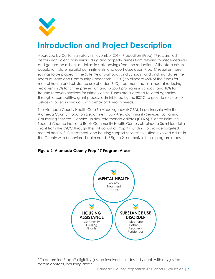

 $\overline{a}$ 

# <span id="page-5-0"></span>**Introduction and Project Description**

Approved by California voters in November 2014, Proposition (Prop) 47 reclassified certain nonviolent, non-serious drug and property crimes from felonies to misdemeanors and generated millions of dollars in state savings from the reduction of the state prison population, state hospital commitments, and court caseloads. Prop 47 requires these savings to be placed in the Safe Neighborhoods and Schools Fund and mandates the Board of State and Community Corrections (BSCC) to allocate 65% of the funds for mental health and substance use disorder (SUD) treatment that is aimed at reducing recidivism, 25% for crime prevention and support programs in schools, and 10% for trauma recovery services for crime victims. Funds are allocated to local agencies through a competitive grant process administered by the BSCC to provide services to justice-involved individuals with behavioral health needs.

The Alameda County Health Care Services Agency (HCSA), in partnership with the Alameda County Probation Department, Bay Area Community Services, La Familia Counseling Services, Canales Unidos Reformando Adictos (CURA), Center Point Inc., Second Chance Inc., and Roots Community Health Center, obtained a \$6 million dollar grant from the BSCC through the first cohort of Prop 47 funding to provide targeted mental health, SUD treatment, and housing support services to justice-involved adults in the County with behavioral health needs.<sup>5</sup> [Figure 2](#page-5-1) summarizes these program areas.



#### <span id="page-5-1"></span>**Figure 2. Alameda County Prop 47 Program Areas**

<sup>5</sup> To determine Prop 47 eligibility, justice-involved includes individuals with any justice system contact, including arrest.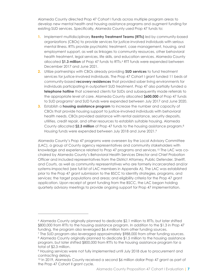Alameda County directed Prop 47 Cohort I funds across multiple program areas to develop new mental health and housing assistance programs and augment funding for existing SUD services. Specifically, Alameda County used Prop 47 funds to:

- **1.** Implement multidisciplinary **Reentry Treatment Teams (RTTs)** led by community-based organizations (CBOs) to provide services for justice-involved individuals with serious mental illness. RTTs provide psychiatric treatment, case management, housing, and employment support, as well as linkages to community resources, other behavioral health treatment, legal services, life skills, and education services. Alameda County allocated **\$1.3 million** of Prop 47 funds to RTTs.<sup>6</sup> RTT funds were expended between December 2017 and June 2021.
- **2.** Utilize partnerships with CBOs already providing **SUD services** to fund treatment services for justice-involved individuals. The Prop 47 Cohort I grant funded 11 beds at community-based **recovery residences** that provided sober living environments for individuals participating in outpatient SUD treatment. Prop 47 also partially funded a **telephone hotline** that screened clients for SUDs and subsequently made referrals to the appropriate level of care. Alameda County allocated **\$600,000** of Prop 47 funds to SUD programs<sup>7</sup> and SUD funds were expended between July 2017 and June 2020.
- **3.** Establish a **housing assistance program** to increase the number and capacity of CBOs that provide housing support to justice-involved individuals with behavioral health needs. CBOs provided assistance with rental assistance, security deposits, utilities, credit repair, and other resources to establish suitable housing. Alameda County allocated **\$2.3 million** of Prop 47 funds to the housing assistance program.<sup>8</sup> Housing funds were expended between July 2018 and June 2021.9

Alameda County's Prop 47 programs were overseen by the Local Advisory Committee (LAC), a group of County agency representatives and community stakeholders with knowledge and experience related to Prop 47 programs and services.<sup>10</sup> The LAC was cochaired by Alameda County's Behavioral Health Services Director and Chief Probation Officer and included representatives from the District Attorney, Public Defender, Sheriff, and Courts, as well as community representatives who are formerly incarcerated and/or systems-impacted (see full list of LAC members in Appendix A). The LAC was established prior to the Prop 47 grant submission to the BSCC to identify strategies, programs, and services; the target populations and areas; and eligibility criteria for the Prop 47 grant application. Upon receipt of grant funding from the BSCC, the LAC began holding quarterly advisory meetings to provide ongoing support for Prop 47 implementation.

 $\overline{a}$ 

<sup>6</sup> Alameda County originally planned to dedicate \$2.1 million to RTTs, but later shifted \$800,000 from RTTs to the housing assistance program. In addition to the \$1.3 in Prop 47 funding, the program also leveraged \$6.4 million from other funding sources.

<sup>7</sup> The SUD program also leveraged approximately \$988,000 from other funding sources. 8 Alameda County originally planned to dedicate \$1.5 million to the housing assistance program, but later shifted \$800,000 from RTTs to the housing assistance program for a total of \$2.3 million.

<sup>9</sup> Housing services were not fully implemented until July 2018 due to procurement and contracting delays.

<sup>10</sup> In 2019, Alameda County received a second \$6 million dollar Prop 47 grant as part of the Prop 47 Cohort II grant cycle.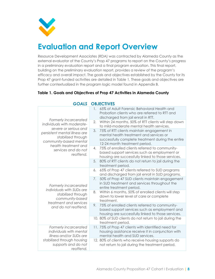

# <span id="page-7-0"></span>**Evaluation and Report Overview**

Resource Development Associates (RDA) was contracted by Alameda County as the external evaluator of the County's Prop 47 programs to report on the County's progress in a preliminary evaluation report and a final program evaluation. This final report, building on the preliminary evaluation report, provides a review of the program's efficacy and overall impact. The goals and objectives established by the County for its Prop 47 grant-funded activities are detailed in [Table 1.](#page-7-1) These goals and objectives are further contextualized in the program logic model found in Appendix B.

#### <span id="page-7-1"></span>**Table 1. Goals and Objectives of Prop 47 Activities in Alameda County**

|                                                                                                                                | 1. 65% of Adult Forensic Behavioral Health and<br>Probation clients who are referred to RTT and<br>discharged from jail enroll in RTT.                                           |
|--------------------------------------------------------------------------------------------------------------------------------|----------------------------------------------------------------------------------------------------------------------------------------------------------------------------------|
| Formerly incarcerated<br>individuals with moderate-                                                                            | 2.<br>Within 24 months, 50% of RTT clients will step down<br>to mild-moderate mental health services.                                                                            |
| severe or serious and<br>persistent mental illness are<br>stabilized through<br>community-based mental<br>health treatment and | 3.<br>75% of RTT clients maintain engagement in<br>mental health treatment and services or<br>successfully complete treatment during the entire<br>12-24 month treatment period. |
| services and do not<br>reoffend.                                                                                               | 75% of enrolled clients referred to community-<br>4.<br>based support services such as employment or<br>housing are successfully linked to those services.                       |
|                                                                                                                                | 80% of RTT clients do not return to jail during the<br>5.<br>treatment period.                                                                                                   |
|                                                                                                                                | 65% of Prop 47 clients referred to SUD programs<br>6.<br>and discharged from jail enroll in SUD programs.                                                                        |
| Formerly incarcerated<br>individuals with SUDs are                                                                             | 50% of Prop 47 SUD clients maintain engagement<br>7.<br>in SUD treatment and services throughout the<br>entire treatment period.                                                 |
| stabilized through<br>community-based<br>treatment and services                                                                | Within 6 months, 50% of enrolled clients will step<br>8.<br>down to lower level of care or complete<br>treatment.                                                                |
| and do not reoffend.                                                                                                           | 75% of enrolled clients referred to community-<br>9.<br>based support services such as employment and<br>housing are successfully linked to those services.                      |
|                                                                                                                                | 10.80% of SUD clients do not return to jail during the<br>treatment period.                                                                                                      |
| Formerly incarcerated<br>individuals with mental<br>illness and/or SUDs are                                                    | 11. 75% of Prop 47 clients with identified need for<br>housing assistance receive it in conjunction with<br>mental health and SUD services.                                      |
| stabilized through housing<br>supports and do not<br>reoffend.                                                                 | 12.80% of clients who receive housing supports do<br>not return to jail during the treatment period.                                                                             |

#### *GOALS* **OBJECTIVES**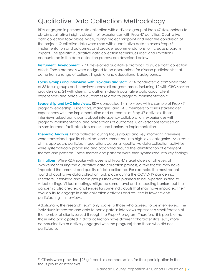### Qualitative Data Collection Methodology

RDA engaged in primary data collection with a diverse group of Prop 47 stakeholders to obtain qualitative insights about their experiences with Prop 47 activities. Qualitative data collection took place twice, during project midpoint and near the conclusion of the project. Qualitative data were used with quantitative data to assess Prop 47 implementation and outcomes and provide recommendations to increase program impact. The specific qualitative data collection techniques used and limitations encountered in the data collection process are described below.

**Instrument Development.** RDA developed qualitative protocols to guide data collection efforts. These protocols were designed to be appropriate for diverse participants that come from a range of cultural, linguistic, and educational backgrounds.

**Focus Groups and Interviews with Providers and Staff.** RDA conducted a combined total of 36 focus groups and interviews across all program areas, including 12 with CBO service providers and 24 with clients, to gather in-depth qualitative data about client experiences and perceived outcomes related to program implementation.**<sup>11</sup>**

**Leadership and LAC Interviews.** RDA conducted 14 interviews with a sample of Prop 47 program leadership, supervisors, managers, and LAC members to assess stakeholder experiences with the implementation and outcomes of Prop 47 activities. These interviews asked participants about interagency collaboration, experiences with program implementation, and perceptions of outcomes. Conversations focused on lessons learned, facilitators to success, and barriers to implementation.

**Thematic Analysis.** Data collected during focus groups and key informant interviews were transcribed, quality checked, and summarized into high-level categories. As a result of this approach, participant quotations across all qualitative data collection activities were systematically processed and organized around the identification of emergent themes and patterns. These themes and patterns were then synthesized into key findings.

**Limitations.** While RDA spoke with dozens of Prop 47 stakeholders at all levels of involvement during the qualitative data collection process, a few factors may have impacted the amount and quality of data collected. For example, the most recent round of qualitative data collection took place during the COVID-19 pandemic. Therefore, interviews and focus groups that were planned to be in-person shifted to virtual settings. Virtual meetings mitigated some travel and scheduling barriers, but the pandemic also created challenges for some individuals that may have impacted their availability to engage in data collection activities and resulted in fewer clients participating in interviews.

Additionally, the research team only spoke to those who agreed to be interviewed. The individuals interested and able to participate in interviews represent a small fraction of the number of clients served through the Prop 47 program. Therefore, it is possible that those who participated in data collection have different characteristics (e.g., more communicative or actively engaged with the program) than those who did not participate.

 $\overline{a}$ 

<sup>&</sup>lt;sup>11</sup> Clients were provided \$25 gift cards as compensation for their participation in the focus group or interviews.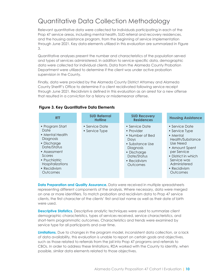### Quantitative Data Collection Methodology

Relevant quantitative data were collected for individuals participating in each of the Prop 47 service areas, including mental health, SUD referral and recovery residences, and the housing assistance program, from the beginning of service implementation through June 2021. Key data elements utilized in this evaluation are summarized in [Figure](#page-9-0)  [3.](#page-9-0)

Quantitative analyses present the number and characteristics of the population served and types of services administered. In addition to service-specific data, demographic data were collected for individual clients. Data from the Alameda County Probation Department were utilized to determine if the client was under active probation supervision in the County.

Finally, data were provided by the Alameda County District Attorney and Alameda County Sheriff's Office to determine if a client recidivated following service receipt through June 2021. Recidivism is defined in this evaluation as an arrest for a new offense that resulted in a conviction for a felony or misdemeanor offense.

| <b>RTT</b>                                                                                                                                                                       | <b>SUD Referrral</b><br><b>Hotline</b> | <b>SUD Recovery</b><br><b>Residences</b>                                                                                                          | <b>Housing Assistance</b>                                                                                                                                                                       |
|----------------------------------------------------------------------------------------------------------------------------------------------------------------------------------|----------------------------------------|---------------------------------------------------------------------------------------------------------------------------------------------------|-------------------------------------------------------------------------------------------------------------------------------------------------------------------------------------------------|
| • Program Start<br>Date<br>• Mental Health<br>Diagnosis<br>• Discharge<br>Date/Status<br>• Assessment<br>Scores<br>• Psychiatric<br>Hospitalizations<br>• Recidivism<br>Outcomes | • Service Date<br>• Service Type       | • Service Date<br>• Provider<br>• Number of Bed<br>Days<br>• Substance Use<br>Diagnosis<br>• Discharge<br>Date/Status<br>• Recidivism<br>Outcomes | • Service Date<br>• Service Type<br>• Mental<br>Health/Substance<br>Use Need<br>• Amount Spent<br>per Service<br>• District in which<br>Service was<br>Administered<br>• Recidivism<br>Outcomes |

#### <span id="page-9-0"></span>**Figure 3. Key Quantitative Data Elements**

**Data Preparation and Quality Assurance.** Data were received in multiple spreadsheets representing different components of the analysis. Where necessary, data were merged on one or more identifiers. To match probation and recidivism data to Prop 47 service clients, the first character of the clients' first and last name as well as their date of birth were used.

**Descriptive Statistics.** Descriptive analytic techniques were used to summarize client demographic characteristics, types of services received, service characteristics, and short-term programmatic outcomes. Characteristics and trends were examined by service type for all participants and over time.

**Limitations.** Due to changes in the program model, inconsistent data collection, or a lack of data availability, this evaluation is unable to report on certain goals and objectives, such as those related to referrals from the jail into Prop 47 programs and referrals to CBOs. In order to address these limitations, RDA worked with the County to identify, when possible, similar data elements related to those objectives.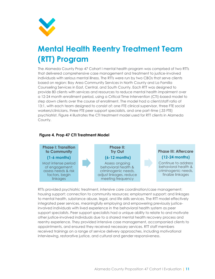

# <span id="page-10-0"></span>**Mental Health Reentry Treatment Team (RTT) Program**

The Alameda County Prop 47 Cohort I mental health program was comprised of two RTTs that delivered comprehensive case management and treatment to justice-involved individuals with serious mental illness. The RTTs were run by two CBOs that serve clients based on region: Bay Area Community Services in North County and La Familia Counseling Services in East, Central, and South County. Each RTT was designed to provide 80 clients with services and resources to reduce mental health impairment over a 12-24 month enrollment period, using a Critical Time Intervention (CTI)-based model to step down clients over the course of enrollment. The model had a client/staff ratio of 13:1, with each team designed to consist of: one FTE clinical supervisor, three FTE social workers/clinicians, three FTE peer support specialists, and one part-time (.33 FTE) psychiatrist. [Figure 4](#page-10-1) illustrates the CTI treatment model used for RTT clients in Alameda County.

<span id="page-10-1"></span>



RTTs provided psychiatric treatment, intensive care coordination/case management; housing support; connection to community resources; employment support; and linkages to mental health, substance abuse, legal, and life skills services. The RTT model effectively integrated peer services, meaningfully employing and empowering previously justiceinvolved individuals with lived experience in the behavioral health system as peer support specialists. Peer support specialists had a unique ability to relate to and motivate other justice-involved individuals due to a shared mental health recovery process and reentry experience. They provided intensive case management, accompanied clients to appointments, and ensured they received necessary services. RTT staff members received trainings on a range of service delivery approaches, including motivational interviewing, restorative justice, and cultural and gender responsiveness.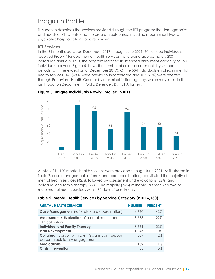## Program Profile

This section describes the services provided through the RTT program; the demographics and needs of RTT clients; and the program outcomes, including program exit types, psychiatric hospitalizations, and recidivism.

#### **RTT Services**

In the 31 months between December 2017 through June 2021, 504 unique individuals received Prop 47-funded mental health services—averaging approximately 200 individuals annually. Thus, the program reached its intended enrollment capacity of 160 individuals per year. [Figure 5](#page-11-0) shows the number of unique enrollments by six-month periods (with the exception of December 2017). Of the 504 individuals enrolled in mental health services, 341 (68%) were previously incarcerated and 103 (20%) were referred through Behavioral Health Court or by a criminal justice agency, which may include the jail, Probation Department, Public Defender, District Attorney.



#### <span id="page-11-0"></span>**Figure 5. Unique Individuals Newly Enrolled in RTTs**

A total of 16,160 mental health services were provided through June 2021. As illustrated in [Table 2,](#page-11-1) case management (referrals and care coordination) constituted the majority of mental health services (42%), followed by assessment and evaluations (22%) and individual and family therapy (22%). The majority (75%) of individuals received two or more mental health services within 30 days of enrollment.

#### <span id="page-11-1"></span>**Table 2. Mental Health Services by Service Category (n = 16,160)**

| <b>MENTAL HEALTH SERVICES</b>                                                                    | <b>NUMBER</b> | <b>PERCENT</b> |
|--------------------------------------------------------------------------------------------------|---------------|----------------|
| <b>Case Management</b> (referrals, care coordination)                                            | 6,760         | 42%            |
| <b>Assessment &amp; Evaluation</b> of mental health and<br>clinical history                      | 3,588         | 22%            |
| <b>Individual and Family Therapy</b>                                                             | 3,551         | 22%            |
| <b>Plan Development</b>                                                                          | 1,645         | 10%            |
| <b>Collateral</b> (consult with client's significant support<br>person, track family engagement) | 309           | 2%             |
| <b>Medications</b>                                                                               | 169           | $1\%$          |
| <b>Crisis Intervention</b>                                                                       | 38.           | 0%             |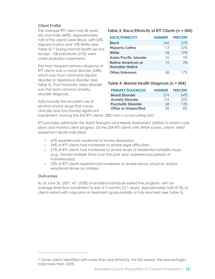#### **Client Profile**

The average RTT client was 40 years old and male (69%). Approximately half of the clients were Black, with 22% Hispanic/Latino and 19% White (see [Table 3\)](#page-12-0).<sup>12</sup> During mental health service receipt, 158 individuals (31%) were under probation supervision.

The most frequent primary diagnosis of RTT clients was a mood disorder (54%), which was most commonly bipolar disorder or depressive disorder (see [Table 4\)](#page-12-1). Post-traumatic stress disorder was the most common anxiety disorder diagnosis.

SUDs include the recurrent use of alcohol and/or drugs that cause clinically and functionally significant

#### <span id="page-12-0"></span>**Table 3. Race/Ethnicity of RTT Clients (n = 504)**

| <b>RACE/ETHNICITY</b>                        | <b>NUMBER</b> | <b>PERCENT</b> |
|----------------------------------------------|---------------|----------------|
| <b>Black</b>                                 | 260           | 52%            |
| <b>Hispanic/Latino</b>                       | 113           | 22%            |
| White                                        | 98            | 19%            |
| <b>Asian/Pacific Islander</b>                | 26            | 5%             |
| Native American or<br><b>Hawaiian Native</b> | 10            | 2%             |
| Other/Unknown                                |               | 17%            |

#### <span id="page-12-1"></span>**Table 4. Mental Health Diagnosis (n = 504)**

| <b>PRIMARY DIAGNOSIS</b>    | <b>NUMBER</b> | <b>PERCENT</b> |
|-----------------------------|---------------|----------------|
| <b>Mood Disorder</b>        | 274           | $.54\%$        |
| <b>Anxiety Disorder</b>     | 124           | 25%            |
| <b>Psychotic Disorder</b>   | 68            | 13%            |
| <b>Other or Unspecified</b> | 38.           | $8\%$          |

impairment. Among the 504 RTT clients, 28% had a co-occurring SUD.

RTT providers administer the Adult Strengths and Needs Assessment (ANSA) to inform case plans and monitor client progress. Of the 204 RTT clients with ANSA scores, clients' initial assessment results indicated:

- 67% experienced moderate to severe depression.
- 54% of RTT clients had moderate to severe legal difficulties.
- 51% of RTT clients had moderate to severe levels of residential instability issues (e.g., moved multiple times over the past year, experienced periods of homelessness).
- 22% of RTT clients experienced moderate or severe sexual, physical, and/or emotional abuse as children.

#### **Outcomes**

 $\overline{a}$ 

As of June 30, 2021, 471 (93%) of enrolled individuals exited the program, with an average time from enrollment to exit of 7 months (211 days). Approximately half (51%) of clients exited with case plan or treatment goals partially or fully reached (see [Table 5\)](#page-13-0).

<sup>&</sup>lt;sup>12</sup> Some clients identified with more than one ethnicity. For this reason, the percentages total more than 100%.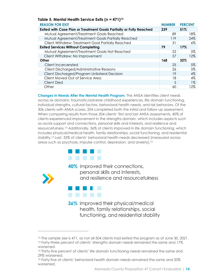<span id="page-13-0"></span>

| Table 5. Meniul Healin service exiis (n – 47 F) $^{\circ}$                 |               |                |
|----------------------------------------------------------------------------|---------------|----------------|
| <b>REASON FOR EXIT</b>                                                     | <b>NUMBER</b> | <b>PERCENT</b> |
| <b>Exited with Case Plan or Treatment Goals Partially or Fully Reached</b> | 239           | 51%            |
| Mutual Agreement/Treatment Goals Reached                                   | 89            | 18%            |
| Mutual Agreement/Treatment Goals Partially Reached                         | 119           | 24%            |
| Client Withdrew: Treatment Goal Partially Reached                          | 31            | $6\%$          |
| <b>Exited Services Without Completing</b>                                  | 79            | 17%            |
| Mutual Agreement/Treatment Goals Not Reached                               | 22            | 5%             |
| Client Withdrew: No Improvement                                            | 57            | 12%            |
| Other                                                                      | 168           | 32%            |
| Client Incarcerated                                                        | 25            | $5\%$          |
| Client Discharged/Administrative Reasons                                   | 26            | 5%             |
| Client Discharged/Program Unilateral Decision                              | 19            | $4\%$          |
| Client Moved Out of Service Area                                           | 18            | 4%             |
| <b>Client Died</b>                                                         | 5             | $1\%$          |
| Other                                                                      | 60            | 12%            |

**Changes in Needs After the Mental Health Program.** The ANSA identifies client needs across six domains: traumatic/adverse childhood experiences, life domain functioning, individual strengths, cultural factors, behavioral health needs, and risk behaviors. Of the 306 clients with ANSA scores, 204 completed both the initial and follow-up assessment. When comparing results from those 204 clients' first and last ANSA assessments, 40% of clients experienced improvement in the strengths domain, which includes aspects such as social support and connections, personal skills and interests, and resilience and resourcefulness.<sup>14</sup> Additionally, 36% of clients improved in life domain functioning, which includes physical/medical health, family relationships, social functioning, and residential stability.<sup>15</sup> Last, 35% of clients' behavioral health needs decreased (measured across areas such as psychosis, impulse control, depression, and anxiety).<sup>16</sup>



**Table 5. Mental Health Service Exits (n = 471)<sup>13</sup>**

40% improved their connections, personal skills and interests, and resilience and resourcefulness



 $\overline{a}$ 

36% improved their physical/medical health, family relationships, social functioning, and residential stability

<sup>&</sup>lt;sup>13</sup> The sample size is 471, as not all 504 clients had exited the program as of June 30, 2021. <sup>14</sup> Forty-three percent of clients' strengths domain needs remained the same and 17%

worsened.

<sup>&</sup>lt;sup>15</sup> Thirty-five percent of clients' life domain functioning needs remained the same and 29% worsened.

<sup>&</sup>lt;sup>16</sup> Forty-five of clients' behavioral health domain needs remained the same and 20% worsened.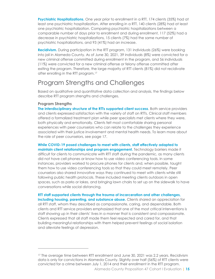**Psychiatric Hospitalizations.** One year prior to enrollment in a RTT, 174 clients (35%) had at least one psychiatric hospitalization. After enrolling in a RTT, 140 clients (28%) had at least one psychiatric hospitalization. Comparing psychiatric hospitalizations between a comparable number of days prior to enrollment and during enrollment, 117 (52%) had a decrease in psychiatric hospitalizations, 15 clients (7%) had the same number of psychiatric hospitalizations, and 93 (41%) had an increase.

**Recidivism.** During participation in the RTT program, 131 individuals (26%) were booking into jail in Alameda County. As of June 30, 2021, 39 individuals (8%) were convicted for a new criminal offense committed during enrollment in the program, and 56 individuals (11%) were convicted for a new criminal offense or felony offense committed after exiting the program. Therefore, the large majority of RTT clients (81%) did not recidivate after enrolling in the RTT program.<sup>17</sup>

### Program Strengths and Challenges

Based on qualitative and quantitative data collection and analysis, the findings below describe RTT program strengths and challenges.

#### **Program Strengths**

 $\overline{a}$ 

**The interdisciplinary structure of the RTTs supported client success**. Both service providers and clients expressed satisfaction with the variety of staff on RTTs. Clinical staff members offered a formalized treatment plan while peer specialists met clients where they were, both physically and emotionally. Clients felt most comfortable sharing personal experiences with peer counselors who can relate to the challenges they experience associated with their justice involvement and mental health needs. To learn more about the role of peer counselors, see page 17.

#### **While COVID-19 posed challenges to meet with clients, staff effectively adapted to maintain client relationships and program engagement.** Technology barriers made it

difficult for clients to communicate with RTT staff during the pandemic, as many clients did not have cell phones or know how to use video conferencing tools. In some instances, providers worked to procure phones for clients and, when possible, taught them how to use video conferencing tools so that they could meet remotely. Peer counselors also shared innovative ways they continued to meet with clients while still following public health protocols. These included meeting clients outdoors in open spaces, such as parks or lakes, and bringing lawn chairs to set up on the sidewalk to have conversations while social distancing.

#### **RTT staff supported clients through the trauma of incarceration and other challenges, including housing, parenting, and substance abuse.** Clients shared an appreciation for all RTT staff, whom they described as compassionate, caring, and dependable. Both clients and RTT service providers emphasized that one of the most critical interventions is staff showing up in their clients' lives in a manner that is consistent and compassionate. Clients expressed that all staff made them feel respected and cared for, and that building meaningful relationships with them helped prevent feelings of social isolation and alleviate feelings of depression.

<sup>&</sup>lt;sup>17</sup> The average time between RTT enrollment and June 30, 2021 was 2.2 years. Recidivism data is only for convictions in Alameda County. Slightly over half (56%) of RTT clients were convicted for a crime between July 1, 2014 and their enrollment in the RTT program.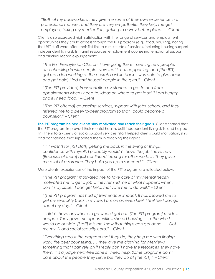*"Both of my caseworkers, they give me some of their own experience in a professional manner, and they are very empathetic; they help me get employed, taking my medication, getting to a way better place." – Client*

Clients also expressed high satisfaction with the range of services and employment opportunities they could access through the RTT program (e.g., food, housing), noting that RTT staff were often their first link to a multitude of services, including housing support, independent living skills, transit resources, employment counseling, emotional support, and criminal record expungement.

*"The First Presbyterian Church, I love going there, meeting new people, and checking in with people. Now that is not happening, and [the RTT] got me a job working at the church a while back. I was able to give back and get paid, I fed and housed people in the gym." – Client*

*"[The RTT provided] transportation assistance, to get to and from appointments when I need to. Ideas on where to get food if I am hungry and if I need food." – Client* 

*"[The RTT offered] counseling services, support with jobs, school, and they referred me to a peer-to-peer program so that I could become a counselor." – Client*

**The RTT program helped clients stay motivated and reach their goals.** Clients shared that the RTT program improved their mental health, built independent living skills, and helped link them to a variety of social support services. Staff helped clients build motivation, skills, and confidence that supported them in reaching their goals.

*"If it wasn't for [RTT staff] getting me back in the swing of things, confidence with myself, I probably wouldn't have the job I have now. [Because of them] I just continued looking for other work. .. . They gave me a lot of assurance. They build you up to succeed." –Client*

More clients' experiences of the impact of the RTT program are reflected below.

*"[The RTT program] motivated me to take care of my mental health, motivated me to get a job… they remind me of what happens when I don't stay sober, I can get help, motivate me to do well." – Client*

*"[The RTT program has had a] tremendous impact. It has allowed me to get my sensibility back in my life. I am on an even keel; I feel like I can go about my day." – Client*

*"I didn't have anywhere to go when I got out. [The RTT program] made it happen. They gave me opportunities, shared housing . . . otherwise I would be outside. [Staff] lets me know that things can get done. . . Got me my ID and social security card." – Client*

*"Everything about the program that they do, they help me with finding work, the peer counseling. . . They give me clothing for interviews, something that I can rely on if I really don't have the resources, they have them. It is a judgement-free zone if I need help. Some programs don't care about the people they serve but they do at [the RTT]." – Client*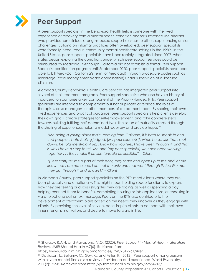

# **Peer Support**

A peer support specialist in the behavioral health field is someone with the lived experience of recovery from a mental health condition and/or substance use disorder who provides non-clinical, strengths-based support services to others experiencing similar challenges. Building on informal practices often overlooked, peer support specialists were formally introduced in community mental healthcare settings in the 1990s. In the United States, peer support specialists have been rapidly integrated since 2007, when states began exploring the conditions under which peer support services could be reimbursed by Medicaid.<sup>18</sup> Although California did not establish a formal Peer Support Specialist certification program until September 2020, peer support specialists have been able to bill Medi-Cal (California's term for Medicaid) through procedure codes such as Brokerage (case management/care coordination) under supervision of a licensed clinician.

Alameda County Behavioral Health Care Services has integrated peer support into several of their treatment programs. Peer support specialists who also have a history of incarceration comprise a key component of the Prop 47-funded RTTs. Peer support specialists are intended to complement but not duplicate or replace the roles of therapists, case managers, or other members of a treatment team. By sharing their own lived experiences and practical guidance, peer support specialists help clients develop their own goals, create strategies for self-empowerment, and take concrete steps towards building fulfilling, self-determined lives. The sense of mutuality created through the sharing of experiences helps to model recovery and provide hope.<sup>19</sup>

*"Me being a young black male, coming from Oakland, it is hard to speak to and trust people. I hate feeling judged. [My peer specialist], when he senses that I shut down, he told me straight up, I know how you feel, I have been through it, and that* is why I have a story to tell. Me and [my peer specialist] we have been working *together . . . they make it as comfortable as possible." – Client*

*"[Peer staff] tell me a part of their story, they share and open up to me and let me know that I am not alone. I am not the only one that went through it. Just like me, they got through it and so can I." Client*

In Alameda County, peer support specialists on the RTTs meet clients where they are, both physically and emotionally. This might mean holding space for clients to express how they are feeling or discuss struggles they are facing, as well as spending a day helping connect them to benefits, completing housing or job applications, or checking in via a telephone call or text message. Peers on the RTTs also contribute to the development of treatment plans based on the needs they uncover as they engage with clients. By providing this level of service, peers inspire clients to connect with their own inner strength, motivation, and desire to move forward in life.

 $\overline{a}$ 

<sup>19</sup> Davidson, L., Bellamy, C., Guy, K., and Miller, R. (2012). Peer support among persons with severe mental illnesses: a review of evidence and experience. World Psychiatry, v.11(2):123-8. Retrieved from [https://pubmed.ncbi.nlm.nih.gov/22654945/.](https://pubmed.ncbi.nlm.nih.gov/22654945/)

<sup>18</sup> Shalaby, R.A.H. and Agyapong, V.O. (2020). *Peer Support in Mental Health: Literature Review.* JMIR Mental Health v.7(6). Retrieved from

https://www.ncbi.nlm.nih.gov/pmc/articles/PMC7312261/#ref1.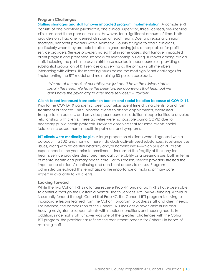#### **Program Challenges**

**Staffing shortages and staff turnover impacted program implementation.** A complete RTT consists of one part-time psychiatrist, one clinical supervisor, three licensed/pre-licensed clinicians, and three peer counselors. However, for a significant amount of time, both providers only had one licensed clinician on each team. Due to a regional clinician shortage, nonprofit providers within Alameda County struggle to retain clinicians, particularly when they are able to attain higher-paying jobs at hospitals or for-profit service providers. Service providers noted that in some cases, staff turnover impacted client progress and presented setbacks for relationship building. Turnover among clinical staff, including the part-time psychiatrist, also resulted in peer counselors providing a substantial proportion of RTT services and serving as the primary staff members interfacing with clients. These staffing issues posed the most significant challenges for implementing the RTT model and maintaining 80-person caseloads.

*"We are at the peak of our ability; we just don't have the clinical staff to sustain the need. We have the peer-to-peer counselors that help, but we don't have the psychiatry to offer more services." – Provider*

**Clients faced increased transportation barriers and social isolation because of COVID-19.**

Prior to the COVID-19 pandemic, peer counselors spent time driving clients to and from treatment or services. This supported clients to attend appointments, addressed transportation barriers, and provided peer counselors additional opportunities to develop relationships with clients. These activities were not possible during COVID due to necessary public health protocols. Providers observed that for some clients, social isolation increased mental health impairment and symptoms.

**RTT clients were medically fragile.** A large proportion of clients were diagnosed with a co-occurring SUD and many of these individuals actively used substances. Substance use issues, along with residential instability and/or homelessness—which 51% of RTT clients experienced in the year prior to enrollment—increased the fragility of their physical health. Service providers described medical vulnerability as a pressing issue, both in terms of mental health and primary health care. For this reason, service providers stressed the importance of clients' continuing and consistent access to nurses. Program administrators echoed this, emphasizing the importance of making primary care expertise available to RTT clients.

#### **Looking Forward**

While the two Cohort I RTTs no longer receive Prop 47 funding, both RTTs have been able to continue through the California Mental Health Services Act (MHSA) funding. A third RTT is currently funded through Cohort II of Prop 47. The Cohort II RTT program is striving to incorporate lessons learned from the Cohort I program to address staff and client needs. For instance, the composition of the Cohort II RTT includes a psychiatric nurse and housing navigator to support clients with medical conditions and housing needs. In addition, since high staff turnover was one of the greatest challenges with the Cohort I RTT program, the provider has refined the recruitment process for Cohort II in hopes of retaining staff.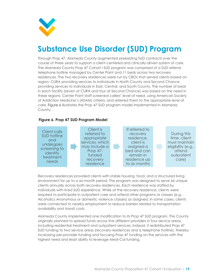

# <span id="page-18-0"></span>**Substance Use Disorder (SUD) Program**

Through Prop 47, Alameda County augmented preexisting SUD contracts over the course of three years to support a client-centered and clinically-driven system of care. The Alameda County Prop 47 Cohort I SUD program was comprised of a SUD referral telephone hotline managed by Center Point and 11 beds across two recovery residences. The two recovery residences were run by CBOs that served clients based on region: CURA providing services to individuals in North County and Second Chance providing services to individuals in East, Central, and South County. The number of beds in each facility (seven at CURA and four at Second Chance) was based on the need in these regions. Center Point staff screened callers' level of need, using American Society of Addiction Medicine's (ASAM) criteria, and referred them to the appropriate level of care. [Figure 6](#page-18-1) illustrates the Prop 47 SUD program model implemented in Alameda County.

#### <span id="page-18-1"></span>**Figure 6. Prop 47 SUD Program Model**



Recovery residences provided clients with stable housing, food, and a structured living environment for up to a six-month period. The program was designed to serve 66 unique clients annually across both recovery residences. Each residence was staffed by individuals with lived SUD experience. While at the recovery residence, clients were required to participate in outpatient care and attend other programs or classes (e.g., Alcoholics Anonymous or domestic violence classes) as assigned. In some cases, clients were connected to nearby employment to reduce barriers related to transportation availability and transit costs.

Alameda County implemented one modification to its Prop 47 SUD program. The County originally planned to spread funds across five different providers in four service areas, including residential treatment and outpatient services. Instead, it redistributed Prop 47 SUD funding to two service areas (recovery residences and a telephone hotline), thereby increasing per-provider funding and focusing Prop 47 funding on the services with the highest need and least ability to leverage Medi-Cal funding.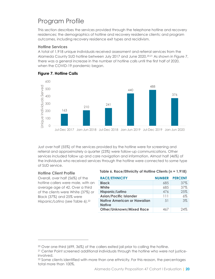## Program Profile

This section describes the services provided through the telephone hotline and recovery residences; the demographics of hotline and recovery residence clients; and program outcomes, including recovery residence exit types and recidivism.

#### **Hotline Services**

A total of 1,918 unique individuals received assessment and referral services from the Alameda County SUD hotline between July 2017 and June 2020.<sup>20,21</sup> As shown in [Figure 7,](#page-19-0) there was a general increase in the number of hotline calls until the first half of 2020, when the COVID-19 pandemic began.



#### <span id="page-19-0"></span>**Figure 7. Hotline Calls**

Just over half (55%) of the services provided by the hotline were for screening and referral and approximately a quarter (23%) were follow-up communications. Other services included follow up and care navigation and information. Almost half (46%) of the individuals who received services through the hotline were connected to some type of SUD service.

#### **Hotline Client Profile**

 $\overline{a}$ 

Overall, over half (56%) of the hotline callers were male, with an average age of 42. Over a third of the clients were White (37%) or Black (37%) and 25% were Hispanic/Latino (see [Table 6\)](#page-19-1). 22

#### <span id="page-19-1"></span>**Table 6. Race/Ethnicity of Hotline Clients (n = 1,918)**

| <b>RACE/ETHNICITY</b>                               | <b>NUMBER</b> | <b>PERCENT</b> |
|-----------------------------------------------------|---------------|----------------|
| <b>Black</b>                                        | 685           | 37%            |
| White                                               | 685           | 37%            |
| Hispanic/Latino                                     | 476           | 25%            |
| <b>Asian/Pacific Islander</b>                       | 111           | $6\%$          |
| <b>Native American or Hawaiian</b><br><b>Native</b> | .51           | 3%             |
| <b>Other/Unknown/Mixed Race</b>                     | 467           | 24%            |

<sup>20</sup> Over one-third (699, 36%) of the callers exited jail prior to calling the hotline.

<sup>&</sup>lt;sup>21</sup> Center Point screened additional individuals through the hotline who were not justiceinvolved.

<sup>&</sup>lt;sup>22</sup> Some clients identified with more than one ethnicity. For this reason, the percentages total more than 100%.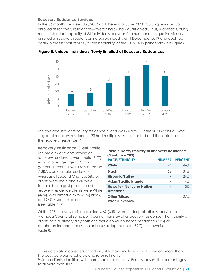#### **Recovery Residence Services**

In the 36 months between July 2017 and the end of June 2020, 203 unique individuals enrolled at recovery residences—averaging 67 individuals a year. Thus, Alameda County met its intended capacity of 66 individuals per year. The number of unique individuals enrolled at recovery residences increased steadily until December 2019 and declined again in the first half of 2020, at the beginning of the COVID-19 pandemic (see [Figure 8\)](#page-20-0).



<span id="page-20-0"></span>**Figure 8. Unique Individuals Newly Enrolled at Recovery Residences** 

The average stay of recovery residence clients was 74 days. Of the 203 individuals who stayed at recovery residences, 23 had multiple stays (i.e., exited and then returned to the recovery residence).<sup>23</sup>

#### **Recovery Residence Client Profile**

The majority of clients staying at recovery residences were male (74%), with an average age of 43. This gender differential was likely because CURA is an all-male residence whereas at Second Chance, 58% of clients were male and 42% were female. The largest proportion of recovery residence clients were White (46%), with almost a third (31%) Black, and 24% Hispanic/Latino (see [Table 7\)](#page-20-1).<sup>24</sup>

 $\overline{a}$ 

#### <span id="page-20-1"></span>**Table 7. Race/Ethnicity of Recovery Residence Clients (n = 203)**

| <b>RACE/ETHNICITY</b>                        | <b>NUMBER</b> | <b>PERCENT</b> |
|----------------------------------------------|---------------|----------------|
| White                                        | 94            | 46%            |
| <b>Black</b>                                 | 62            | 31%            |
| Hispanic/Latino                              | 49            | 24%            |
| <b>Asian/Pacific Islander</b>                | 9             | 4%             |
| <b>Hawaiian Native or Native</b><br>American | 4             | 2%             |
| Other/Mixed<br>Race/Unknown                  | 54            | 27%            |

Of the 203 recovery residence clients, 69 (34%) were under probation supervision in Alameda County at some point during their stay at a recovery residence. The majority of clients had a primary diagnosis of either alcohol abuse/dependence (31%) or amphetamine and other stimulant abuse/dependence (39%) as shown in [Table 8.](#page-21-0)

<sup>&</sup>lt;sup>23</sup> This calculation considers an individual to have multiple stays if there are more than five days between discharge and re-enrollment.

<sup>&</sup>lt;sup>24</sup> Some clients identified with more than one ethnicity. For this reason, the percentages total more than 100%.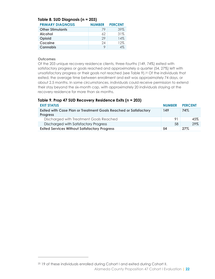<span id="page-21-0"></span>

| Table 8. SUD Diagnosis (n = 203) |               |                |  |
|----------------------------------|---------------|----------------|--|
| <b>PRIMARY DIAGNOSIS</b>         | <b>NUMBER</b> | <b>PERCENT</b> |  |
| <b>Other Stimulants</b>          | 79            | 39%            |  |
| <b>Alcohol</b>                   | 62            | 31%            |  |
| Opioid                           | 29            | 14%            |  |
| <b>Cocaine</b>                   | 24            | 12%            |  |
| <b>Cannabis</b>                  | 9             | $4\%$          |  |

#### **Outcomes**

 $\overline{a}$ 

Of the 203 unique recovery residence clients, three-fourths (149, 74%) exited with satisfactory progress or goals reached and approximately a quarter (54, 27%) left with unsatisfactory progress or their goals not reached (see [Table 9\)](#page-21-1).<sup>25</sup> Of the individuals that exited, the average time between enrollment and exit was approximately 74 days, or about 2.5 months. In some circumstances, individuals could receive permission to extend their stay beyond the six-month cap, with approximately 20 individuals staying at the recovery residence for more than six months.

#### <span id="page-21-1"></span>**Table 9. Prop 47 SUD Recovery Residence Exits (n = 203)**

| <b>EXIT STATUS</b>                                                                         | <b>NUMBER</b> | <b>PERCENT</b> |
|--------------------------------------------------------------------------------------------|---------------|----------------|
| <b>Exited with Case Plan or Treatment Goals Reached or Satisfactory</b><br><b>Progress</b> | 149           | 74%            |
|                                                                                            |               |                |
| Discharged with Treatment Goals Reached                                                    | 91            | 45%            |
| Discharged with Satisfactory Progress                                                      | 58            | 29%            |
| <b>Exited Services Without Satisfactory Progress</b>                                       | 54            | 27%            |

Alameda County Proposition 47 Cohort I Evaluation **| 22** <sup>25</sup> 19 of these individuals enrolled during Cohort I and exited during Cohort II.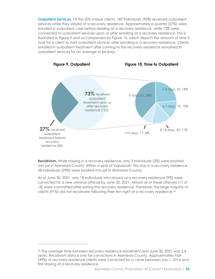**Outpatient Services.** Of the 203 unique clients, 183 individuals (90%) received outpatient services while they stayed at a recovery residence. Approximately a quarter (27%) were enrolled in outpatient care before residing at a recovery residence, while 73% were connected to outpatient services upon or after enrolling at a recovery residence. This is illustrated in [Figure 9](#page-22-0) and accompanied by [Figure 10,](#page-22-1) which depicts the amount of time it took for a client to start outpatient services after enrolling in a recovery residence. Clients enrolled in outpatient treatment after coming to the recovery residence remained in outpatient services for an average of 84 days.

<span id="page-22-1"></span><span id="page-22-0"></span>

**Recidivism.** While staying in a recovery residence, only 3 individuals (2%) were booked into jail in Alameda County. Within a year of individuals' first stay in a recovery residence, 58 individuals (29%) were booked into jail in Alameda County.

As of June 30, 2021, only 18 individuals who stayed at a recovery residence (9%) were convicted for a new criminal offense by June 30, 2021. Almost all of these offenses (17 of 18) were committed after exiting the recovery residence. Therefore, the large majority of clients (91%) did not recidivate following their first night at a recovery residence.<sup>26</sup>

 $\overline{a}$ 

<sup>26</sup> The average time between recovery residence enrollment and June 30, 2021 was 2.4 years. Recidivism data is only for convictions in Alameda County. Approximately half (49%) of recovery residence clients were convicted for a crime between July 1, 2014 and first staying at a recovery residence.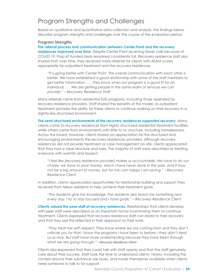### Program Strengths and Challenges

Based on qualitative and quantitative data collection and analysis, the findings below describe program strengths and challenges over the course of the evaluation period.

#### **Program Strengths**

**The referral process and communication between Center Point and the recovery residences improved over time.** Despite Center Point receiving fewer calls because of COVID-19, Prop 47-funded beds remained consistently full. Recovery residence staff also shared that, over time, they received more referrals for clients with ASAM scores appropriate for outpatient treatment and the recovery residences.

*"It is going better with Center Point. The overall communication with each other is better. We have established a good relationship with some of the staff members to get better information. . . . They know when our program is a good fit for an individual. . . . We are getting people in the same realm of services we can provide." – Recovery Residence Staff* 

Many referrals came from residential SUD programs, including those operated by recovery residence providers. Staff shared the benefits of this model, as outpatient treatment provides the ability for these clients to continue working on their recovery in a slightly less structured environment.

**The semi-structured environments of the recovery residences supported recovery.** Many clients came to recovery residences from highly-structured residential treatment facilities, while others came from environments with little to no structure, including homelessness. Across the board, however, clients shared an appreciation for the structured and encouraging environments the recovery residences provided. Although recovery residences did not provide treatment or case management on-site, clients appreciated that they had a clear structure and rules. The majority of staff were described as treating everyone with warmth and respect.

*"I feel like [recovery residence provider] makes us accountable. We have to do our chores; we have to save money, which I have never done in the past. And it may not be a big amount of money, but for me I am happy I am saving." – Recovery Residence Client*

In addition, clients appreciated opportunities for relationship building and support they received from fellow residents to help achieve their treatment goals.

*"The residents give me knowledge. The residents also teach me something new every day. I try to stay focused and I have goals." – Recovery Residence Client* 

**Clients valued the peer staff at recovery residences.** Relationships that clients develop with peer staff were described as an important factor incentivizing them to continue treatment. Clients expressed that recovery residence staff can relate to their recovery and that they see this reflected in their approach to their work.

*"They treat me with respect. They know where we are coming from and they don't criticize you for that. I know the programs I have been to before*—*they didn't treat us as nice. But staff have more understanding because they have been through what we are going through." – Recovery Residence Client*

Clients also expressed that they could talk with staff openly and that the staff genuinely care about their success. Staff took the time to understand clients' history, including the context around their substance use issues, and made themselves available when clients need someone to talk to for support.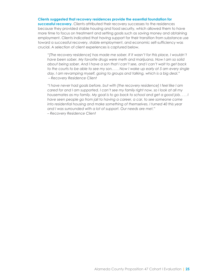#### **Clients suggested that recovery residences provide the essential foundation for**

**successful recovery.** Clients attributed their recovery successes to the residences because they provided stable housing and food security, which allowed them to have more time to focus on treatment and setting goals such as saving money and obtaining employment. Clients indicated that having support for their transition from substance use toward a successful recovery, stable employment, and economic self-sufficiency was crucial. A selection of client experiences is captured below.

*"[The recovery residence] has made me sober. If it wasn't for this place, I wouldn't have been sober. My favorite drugs were meth and marijuana. Now I am so solid about being sober. And I have a son that I can't see, and I can't wait to get back to the courts to be able to see my son. . . . Now I wake up early at 5 am every single day. I am revamping myself, going to groups and talking, which is a big deal." – Recovery Residence Client*

*"I have never had goals before, but with [the recovery residence] I feel like I am cared for and I am supported. I can't see my family right now, so I look at all my housemates as my family. My goal is to go back to school and get a good job. . . . I have seen people go from jail to having a career, a car, to see someone come into residential housing and make something of themselves. I turned 40 this year and I was surrounded with a lot of support. Our needs are met." – Recovery Residence Client*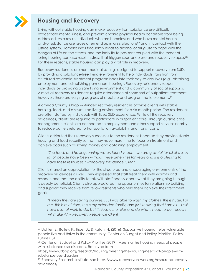

 $\overline{a}$ 

### **Housing and Recovery**

Living without stable housing can make recovery from substance use difficult, exacerbate mental illness, and prevent chronic physical health conditions from being addressed. As a result, individuals who are homeless and who have mental health and/or substance use issues often end up in crisis situations<sup>27</sup> and in contact with the justice system. Homelessness frequently leads to alcohol or drug use to cope with the dangers of life on the streets, and the inability to pay rent coupled with the threat of losing housing can also result in stress that triggers substance use and recovery relapse.<sup>28</sup> For these reasons, stable housing can play a vital role in recovery.

Recovery residences are non-medical settings designed to support recovery from SUDs by providing a substance-free living environment to help individuals transition from structured residential treatment programs back into their day-to-day lives (e.g., obtaining employment and establishing permanent housing). Recovery residences support individuals by providing a safe living environment and a community of social supports. Almost all recovery residences require attendance of some sort of outpatient treatment; however, there are varying degrees of structure and programmatic elements.<sup>29</sup>

Alameda County's Prop 47-funded recovery residences provide clients with stable housing, food, and a structured living environment for a six-month period. The residences are often staffed by individuals with lived SUD experience. While at the recovery residences, clients are required to participate in outpatient care. Through outside case management, clients are connected to employment and other support services nearby to reduce barriers related to transportation availability and transit costs.

Clients attributed their recovery successes to the residences because they provide stable housing and food security so that they have more time to focus on treatment and achieve goals such as saving money and obtaining employment.

*"The food, and having running water, laundry room, we are grateful for all of this. A lot of people have been without these amenities for years and it is a blessing to have these resources." –Recovery Residence Client*

Clients shared an appreciation for the structured and encouraging environments of the recovery residences as well. They expressed that staff treat them with warmth and respect, and that the ability to talk with staff openly about what they are going through is deeply beneficial. Clients also appreciated the opportunities for relationship building and support they receive from fellow residents who help them achieve their treatment goals.

*"I mean they are saving our lives. . . . I was able to wash my clothes, this is huge. For me, this is my future, this is my extended family, and just knowing that I am ok... I still have a lot of work to do, but if I follow the rules and do what I need to do, I know I will make it." – Recovery Residence Client*

<sup>27</sup> Dohler, E., Bailey, P., Rice, D., & Katch, H. (2016). Supportive housing helps vulnerable people live and thrive in the community. Center on Budget and Policy Priorities: Policy Futures, 31.

<sup>&</sup>lt;sup>28</sup> Center on Budget and Policy Priorities (2019). Meeting the housing needs of people with substance use disorders. Retrieved from

https://www.cbpp.org/research/housing/meeting-the-housing-needs-of-people-withsubstance-use-disorders.

<sup>29</sup> Recovery Research Institute: see https://www.recoveryanswers.org/resource/recoveryresidences/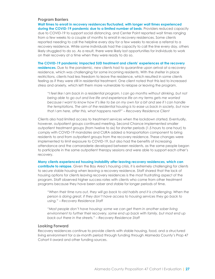#### **Program Barriers**

**Wait times to enroll in recovery residences fluctuated, with longer wait times experienced during the COVID-19 pandemic due to a limited number of beds**. Providers reduced capacity due to COVID-19 to support social distancing, and Center Point reported wait times ranging from a few weeks to a couple of months to enroll in recovery residences. Some clients reported needing to call the helpline every day for a few weeks to receive a referral to a recovery residence. While some individuals had the capacity to call the line every day, others likely struggled to do so. As a result, there were likely lost opportunities for individuals to work on their recovery at a time when they were ready to do so.

**The COVID-19 pandemic impacted SUD treatment and clients' experiences at the recovery residences.** Due to the pandemic, new clients had to quarantine upon arrival at a recovery residence, which was challenging for some incoming residents. With the shelter in place restrictions, clients had less freedom to leave the residence, which resulted in some clients feeling as if they were still in residential treatment. One client noted that this led to increased stress and anxiety, which left them more vulnerable to relapse or leaving the program.

*"I feel like I am back in a residential program. I can go months without drinking, but not being able to go out and live life and experience life on my terms gets me worried because I want to know how it's like to be on my own for a bit and see if I can handle the temptations. The aim of the residential housing is to ease us back in society, but now that I am here, after this, what happens next?" – Recovery Residence Client*

Clients also had limited access to treatment services when the lockdown started. Eventually, however, outpatient groups continued meeting. Second Chance implemented smaller outpatient treatment groups (from twelve to six) for shorter periods (1.5 hours to one hour) to comply with COVID-19 mandates and CURA added a transportation component to bring residents to and from outpatient groups from the recovery residence. These changes were implemented to limit exposure to COVID-19, but also had the benefits of increasing attendance and the camaraderie developed between residents, as the same people began to participate in the same outpatient therapy sessions and were able to support each other's recovery.

**Many clients experienced housing instability after leaving recovery residences, which can contribute to relapse.** Given the Bay Area's housing crisis, it is extremely challenging for clients to secure stable housing when leaving a recovery residence. Staff shared that the lack of housing options for clients leaving recovery residences is the most frustrating aspect of the program. Staff observed higher success rates with clients who come from other treatment programs because they have been sober and stable for longer periods of time.

*"When their time runs out, they will go back to old habits and it is challenging. When the person is doing great, if they don't have access to housing services they go back to using." – Recovery Residence Staff*

*"Most people don't have housing; some we can get them in another sober living environment to further their recovery, some end up back with family, but most end up back out there in the streets." – Recovery Residence Staff*

#### **Looking Forward**

Recovery residences continue to provide clients with stable housing, food, and a structured living environment for a six-month period through funding through Alameda County's Prop 47 Cohort II award and other funding sources.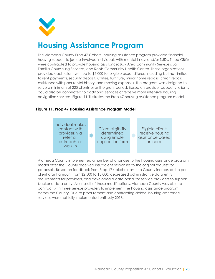

# <span id="page-27-0"></span>**Housing Assistance Program**

The Alameda County Prop 47 Cohort I housing assistance program provided financial housing support to justice-involved individuals with mental illness and/or SUDs. Three CBOs were contracted to provide housing assistance: Bay Area Community Services, La Familia Counseling Services, and Roots Community Health Center. These organizations provided each client with up to \$5,000 for eligible expenditures, including but not limited to rent payments, security deposit, utilities, furniture, minor home repairs, credit repair, assistance with poor rental history, and moving expenses. The program was designed to serve a minimum of 225 clients over the grant period. Based on provider capacity, clients could also be connected to additional services or receive more intensive housing navigation services. [Figure 1](#page-27-1)1 illustrates the Prop 47 housing assistance program model.

#### <span id="page-27-1"></span>**Figure 11. Prop 47 Housing Assistance Program Model**



Alameda County implemented a number of changes to the housing assistance program model after the County received insufficient responses to the original request for proposals. Based on feedback from Prop 47 stakeholders, the County increased the per client grant amount from \$2,500 to \$5,000, decreased administrative data entry requirements for providers, and developed a data portal for service providers to support backend data entry. As a result of these modifications, Alameda County was able to contract with three service providers to implement the housing assistance program across the County. Due to procurement and contracting delays, housing assistance services were not fully implemented until July 2018.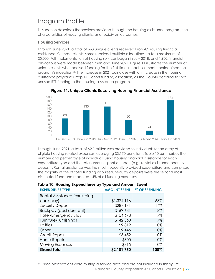## Program Profile

This section describes the services provided through the housing assistance program, the characteristics of housing clients, and recidivism outcomes.

#### **Housing Services**

 $\overline{a}$ 

Through June 2021, a total of 663 unique clients received Prop 47 housing financial assistance. Of those clients, some received multiple allocations up to a maximum of \$5,000. Full implementation of housing services began in July 2018, and 1,902 financial allocations were made between then and June 2021. [Figure 11](#page-28-0) illustrates the number of unique clients who received funding for the first time in each six-month period since the program's inception.<sup>30</sup> The increase in 2021 coincides with an increase in the housing assistance program's Prop 47 Cohort funding allocation, as the County decided to shift unused RTT funding to the housing assistance program.

<span id="page-28-0"></span>

**Figure 11. Unique Clients Receiving Housing Financial Assistance**

Jul-Dec 2018 Jan-Jun 2019 Jul-Dec 2019 Jan-Jun 2020 Jul-Dec 2020 Jan-Jun 2021

Through June 2021, a total of \$2.1 million was provided to individuals for an array of eligible housing-related expenses, averaging \$3,170 per client. [Table 10](#page-28-1) summarizes the number and percentage of individuals using housing financial assistance for each expenditure type and the total amount spent on each (e.g., rental assistance, security deposit). Rental assistance was the most frequently provided expenditure and comprised the majority of the of total funding disbursed. Security deposits were the second most distributed fund and made up 14% of all funding expenses.

| <b>EXPENDITURE TYPE</b>      | <b>AMOUNT SPENT</b> | <b>% OF SPENDING</b> |
|------------------------------|---------------------|----------------------|
| Rental Assistance (excluding |                     |                      |
| back pay)                    | \$1,324,116         | 63%                  |
| Security Deposit             | \$287,141           | 14%                  |
| Backpay (past due rent)      | \$169,631           | 8%                   |
| Hotel/Emergency Stay         | \$154,678           | 7%                   |
| Furniture/Furnishings        | \$142,360           | 7%                   |
| <b>Utilities</b>             | \$9,812             | 0%                   |
| Other                        | \$9,446             | 0%                   |
| Credit Repair                | \$3,452             | 0%                   |
| Home Repair                  | \$800               | 0%                   |
| Moving Expenses              | \$315               | 0%                   |
| <b>Grand Total</b>           | \$2,101,750         | 100%                 |

# <span id="page-28-1"></span>**Table 10. Housing Expenditures by Type and Amount Spent**

Alameda County Proposition 47 Cohort I Evaluation **| 29** <sup>30</sup> Three observations were missing a service date and are not included in this figure.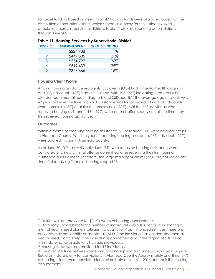To target funding based on need, Prop 47 housing funds were allocated based on the distribution of probation clients, which served as a proxy for the justice-involved population, across supervisorial districts. [Table 11](#page-29-0) displays spending across districts through June 2021.<sup>31</sup>

| <b>DISTRICT</b> | <b>AMOUNT SPENT</b> | % OF SPENDING |
|-----------------|---------------------|---------------|
|                 | \$224,738           | 11%           |
|                 | \$447,585           | 21%           |
| २               | \$554,727           | 26%           |
|                 | \$519,433           | 25%           |
| 5               | \$346,666           | 1 6%          |

#### <span id="page-29-0"></span>**Table 11. Housing Services by Supervisorial District**

#### **Housing Client Profile**

Among housing assistance recipients, 533 clients (80%) had a mental health diagnosis and 318 individuals (48%) had a SUD need, with 195 (29%) indicating a co-occurring disorder (both mental health diagnosis and SUD need).<sup>32</sup> The average age of clients was 42 years old.<sup>33</sup> At the time financial assistance was first provided, almost all individuals were homeless (65%) or at risk of homelessness (28%).<sup>34</sup> Of the 663 individuals who received housing assistance, 134 (19%) were on probation supervision at the time they first received housing assistance.

#### **Outcomes**

 $\overline{a}$ 

Within a month of receiving housing assistance, 51 individuals (8%) were booked into jail in Alameda County. Within a year of receiving housing assistance, 143 individuals (22%) were booked into jail in Alameda County.

As of June 30, 2021, only 53 individuals (8%) who received housing assistance were convicted of a new criminal offense committed after receiving their first housing assistance disbursement. Therefore, the large majority of clients (92%) did not recidivate since first receiving financial housing support.<sup>35</sup>

<sup>&</sup>lt;sup>31</sup> District was not provided for \$8,601 worth of housing disbursements.

 $32$  Data may underestimate the number of individuals with SUDs because indicating a mental health need alone is sufficient to qualify for Prop 47-funded services. Therefore, providers may not identify an individual's SUD if the individual has an identified mental health need, particularly if the individual is concerned about the stigma of SUD need. <sup>33</sup> Birthdate not available for 21 unique individuals.

<sup>34</sup> Housing status was not provided for 17 individuals.

<sup>35</sup> The average time between receiving housing support and June 30, 2021 was 1.4 years. Recidivism data is only for convictions in Alameda County. Approximately one-third (34%) of housing clients were convicted for a crime between July 1, 2014 and their first housing disbursement.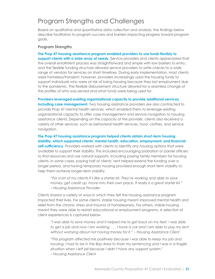### Program Strengths and Challenges

Based on qualitative and quantitative data collection and analysis, the findings below describe facilitators to program success and barriers impacting progress toward program goals.

#### **Program Strengths**

**The Prop 47 housing assistance program enabled providers to use funds flexibly to support clients with a wide array of needs.** Service providers and clients appreciated that the overall enrollment process was straightforward and simple with low barriers to entry, and the flexible funding structure allowed service providers to write checks to a wide range of vendors for services on short timelines. During early implementation, most clients were homeless/transient; however, providers increasingly used the housing funds to support individuals who were at risk of losing housing because they lost employment due to the pandemic. The flexible disbursement structure allowed for a seamless change of the profiles of who was served and what funds were being used for.

**Providers leveraged existing organizational capacity to provide additional services, including case management.** Two housing assistance providers are also contracted to provide Prop 47 mental health services, which enabled them to leverage existing organizational capacity to offer case management and service navigation to housing assistance clients. Depending on the capacity of the provider, clients also received a variety of other services, such as behavioral health services, food, clothes, and service navigation.

**The Prop 47 housing assistance program helped clients obtain short-term housing stability, which supported clients' mental health, education, employment, and financial self-sufficiency**. Providers worked with clients to identify any housing options that were available to support their stability. This included encouraging probation or parole officers to find resources and use natural supports, including paying family members for housing clients. In some cases, paying half of clients' rent helped extend the funding over a longer period, and having temporary housing provided enough short-term stability to help them achieve longer-term stability.

*"For a lot of my clients it's like a starter kit. They're working and able to save money, get credit up, move into their own place. It really is a great starter kit." – Housing Assistance Provider*

Clients shared a variety of ways in which they felt the housing assistance program impacted their lives. For some clients, stable housing meant improved mental health and relief from the chronic stress and trauma of homelessness. For others, stable housing meant they were able to restart educational or employment programs. A selection of client experiences is captured below.

*"I was able to save money and it helped me to get back on my feet. I was able to get a job and now I am working. . . . I have a car and I am able to pay my rent without worrying about not having money for it." Housing Assistance Client*

*"This program affected me positively because I was able to keep my job and housing. I had to be in the Bay Area to finish my sentencing and I was in a fragile situation when I left jail because I didn't have any support system." – Housing Assistance Client*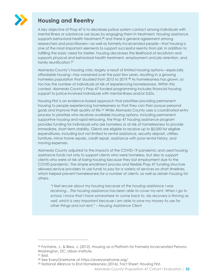

### **Housing and Reentry**

A key objective of Prop 47 is to decrease justice system contact among individuals with mental illness or substance use issues by engaging them in treatment. Housing assistance supports behavioral health treatment,<sup>36</sup> and there is general agreement among researchers and practitioners—as well as formerly incarcerated people—that housing is one of the most important elements to support successful reentry from jail. In addition to fulfilling the basic need for shelter, housing decreases the likelihood of recidivism and supports physical and behavioral health treatment, employment and job retention, and family reunification.<sup>37</sup>

Alameda County's housing crisis, largely a result of limited housing options—especially affordable housing—has worsened over the past few years, resulting in a growing homeless population that doubled from 2015 to 2019.<sup>38</sup> As homelessness has grown, so too has the number of individuals at risk of experiencing homelessness. Within this context, Alameda County's Prop 47-funded programming includes financial housing support to justice-involved individuals with mental illness and/or SUDs.

Housing First is an evidence-based approach that prioritizes providing permanent housing to people experiencing homelessness so that they can then pursue personal goals and improve their quality of life.<sup>39</sup> While Alameda County uses a coordinated entry process to prioritize who receives available housing options, including permanent supportive housing and rapid rehousing, the Prop 47 housing assistance program provides funding for individuals who are homeless or at risk of homelessness to provide immediate, short-term stability. Clients are eligible to receive up to \$5,000 for eligible expenditures, including but not limited to rental assistance, security deposit, utilities, furniture, minor home repairs, credit repair, assistance with poor rental history, and moving expenses.

Alameda County adjusted to the impacts of the COVID-19 pandemic and used housing assistance funds not only to support clients who were homeless, but also to support clients who were at risk of losing housing because they lost employment due to the COVID pandemic. The simple enrollment process and flexible Prop 47 funding structure allowed service providers to use funds to pay for a variety of services on short timelines, which helped prevent homelessness for a number of clients, as well as obtain housing for others.

*"I feel secure about my housing because of the housing assistance I was receiving... The housing assistance has been able to cover my rent. When I go to school, I know that I have somewhere to come back to. My recovery is thriving as well, which is very important because I am able to save my money to use for other things and not rent." – Housing Assistance Client*

 $\overline{a}$ 

<sup>36</sup> Fontaine, J., & Biess, J. (2012). Housing as a Platform for Formerly Incarcerated Persons. Washington, DC: Urban Institute.

<sup>37</sup> Ibid.

<sup>38</sup> See EveryOneHome at https://everyonehome.org/

<sup>39</sup> National Alliance to End Homelessness (2016). Fact Sheet: Housing First.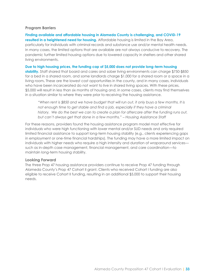#### **Program Barriers**

**Finding available and affordable housing in Alameda County is challenging, and COVID-19 resulted in a heightened need for housing.** Affordable housing is limited in the Bay Area, particularly for individuals with criminal records and substance use and/or mental health needs. In many cases, the limited options that are available are not always conducive to recovery. The pandemic further limited housing options due to lowered capacity in shelters and other shared living environments.

**Due to high housing prices, the funding cap of \$5,000 does not provide long-term housing stability.** Staff shared that board and cares and sober living environments can charge \$750-\$850 for a bed in a shared room, and some landlords charge \$1,000 for a shared room or a space in a living room**.** These are the lowest cost opportunities in the county, and in many cases, individuals who have been incarcerated do not want to live in shared living spaces. With these prices, \$5,000 will result in less than six months of housing and, in some cases, clients may find themselves in a situation similar to where they were prior to receiving the housing assistance.

*"When rent is \$850 and we have budget that will run out, it only buys a few months. It is not enough time to get stable and find a job, especially if they have a criminal* history. We do the best we can to create a plan for aftercare after the funding runs out, *but can't always get that done in a few months." Housing Assistance Staff*

For these reasons, providers found the housing assistance program model most effective for individuals who were high functioning with lower mental and/or SUD needs and only required limited financial assistance to support long-term housing stability (e.g., clients experiencing gaps in employment or one-time financial hardships). The funding may have a more limited impact on individuals with higher needs who require a high intensity and duration of wraparound services such as in-depth case management, financial management, and care coordination—to maintain long-term housing stability.

#### **Looking Forward**

The three Prop 47 housing assistance providers continue to receive Prop 47 funding through Alameda County's Prop 47 Cohort II grant. Clients who received Cohort I funding are also eligible to receive Cohort II funding, resulting in an additional \$5,000 to support their housing needs.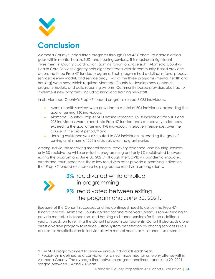

<span id="page-33-0"></span>Alameda County funded three programs through Prop 47 Cohort I to address critical gaps within mental health, SUD, and housing services. This required a significant investment in County coordination, administration, and oversight. Alameda County's Health Care Services Agency held eight contracts with six community-based providers across the three Prop 47-funded programs. Each program had a distinct referral process, service delivery model, and service array. Two of the three programs (mental health and housing) were new, which required Alameda County to develop new contracts, program models, and data reporting systems. Community-based providers also had to implement new programs, including hiring and training new staff.

In all, Alameda County's Prop-47 funded programs served 3,085 individuals:

- Mental health services were provided to a total of 504 individuals, exceeding the goal of serving 160 individuals,
- Alameda County's Prop 47 SUD hotline screened 1,918 individuals for SUDs and 203 individuals were placed into Prop 47-funded beds at recovery residences, exceeding the goal of serving 198 individuals in recovery residences over the course of the grant period,<sup>40</sup> and
- Housing assistance was distributed to 663 individuals, exceeding the goal of serving a minimum of 225 individuals over the grant period.

Among individuals receiving mental health, recovery residence, and housing services, only 3% recidivated while enrolled in programming and only 9% recidivated between exiting the program and June 30, 2021. <sup>41</sup> Though the COVID-19 pandemic impacted arrests and court processes, these low recidivism rates provide a promising indication that Prop-47 funded services are helping reduce recidivism among clients.



 $\overline{a}$ 

3% recidivated while enrolled in programming 9% recidivated between exiting the program and June 30, 2021.

Because of the Cohort I successes and the continued need to deliver the Prop 47 funded services, Alameda County applied for and received Cohort II Prop 47 funding to provide mental, substance use, and housing assistance services for three additional years. In addition to refining the Cohort I program components, Cohort II also adds a prearrest diversion program to reduce justice system penetration by offering services in lieu of arrest or hospitalization to individuals with mental health or substance use disorders.

<sup>40</sup> The SUD program aimed to serve 66 unique individuals each year.

<sup>41</sup> Recidivism is defined as a conviction for a new misdemeanor or felony offense within Alameda County. The average time between program enrollment and June 20, 2021 ranged between 1.4 and 2.4 years.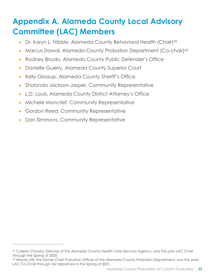# <span id="page-34-0"></span>**Appendix A. Alameda County Local Advisory Committee (LAC) Members**

- Dr. Karyn L. Tribble, Alameda County Behavioral Health (Chair)<sup>42</sup>
- Marcus Dawal, Alameda County Probation Department (Co-chair)<sup>43</sup>
- Rodney Brooks, Alameda County Public Defender's Office
- Danielle Guerry, Alameda County Superior Court
- Kelly Glossup, Alameda County Sheriff's Office
- Sholonda Jackson-Jasper, Community Representative
- L.D. Louis, Alameda County District Attorney's Office
- Michele Moncrief, Community Representative
- Gordon Reed, Community Representative
- Dan Simmons, Community Representative

 $\overline{a}$ 

<sup>42</sup> Colleen Chawla, Director of the Alameda County Health Care Services Agency, was the prior LAC Chair through the Spring of 2020.

<sup>43</sup> Wendy Still, the former Chief Probation Officer of the Alameda County Probation Department, was the prior LAC Co-Chair through her departure in the Spring of 2021.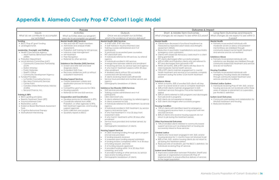# <span id="page-35-0"></span>**Appendix B. Alameda County Prop 47 Cohort I Logic Model**

| <b>Process</b>                                                                                                                                                                                                                                                                                                                                                                                                                                                                                                                                                                                                                                                                                                                                                                                                                                                    |                                                                                                                                                                                                                                                                                                                                                                                                                                                                                                                                                                                                                                                                                                                                                                                                                                                                                                                                                                                                             | <b>Outcomes &amp; Impact</b>                                                                                                                                                                                                                                                                                                                                                                                                                                                                                                                                                                                                                                                                                                                                                                                                                                                                                                                                                                                                                                                                                                                                                                                                                                                                                                                                                                                                                                                                                                                                                                                                                                                                                                                                                                                                                                                                                                                              |                                                                                                                                                                                                                                                                                                                                                                                                                                                                                                                                                                                                                                                                                                                                                                                                                                                                                                                                                                                                                                                                                                                                                                                                                                                                                                                                                                                                                                                                                                                                                                                                                                                                                                                                                                                                                                                                                                                                                                                                                                                                                                                                                                                                                                                                                                                   |                                                                                                                              |
|-------------------------------------------------------------------------------------------------------------------------------------------------------------------------------------------------------------------------------------------------------------------------------------------------------------------------------------------------------------------------------------------------------------------------------------------------------------------------------------------------------------------------------------------------------------------------------------------------------------------------------------------------------------------------------------------------------------------------------------------------------------------------------------------------------------------------------------------------------------------|-------------------------------------------------------------------------------------------------------------------------------------------------------------------------------------------------------------------------------------------------------------------------------------------------------------------------------------------------------------------------------------------------------------------------------------------------------------------------------------------------------------------------------------------------------------------------------------------------------------------------------------------------------------------------------------------------------------------------------------------------------------------------------------------------------------------------------------------------------------------------------------------------------------------------------------------------------------------------------------------------------------|-----------------------------------------------------------------------------------------------------------------------------------------------------------------------------------------------------------------------------------------------------------------------------------------------------------------------------------------------------------------------------------------------------------------------------------------------------------------------------------------------------------------------------------------------------------------------------------------------------------------------------------------------------------------------------------------------------------------------------------------------------------------------------------------------------------------------------------------------------------------------------------------------------------------------------------------------------------------------------------------------------------------------------------------------------------------------------------------------------------------------------------------------------------------------------------------------------------------------------------------------------------------------------------------------------------------------------------------------------------------------------------------------------------------------------------------------------------------------------------------------------------------------------------------------------------------------------------------------------------------------------------------------------------------------------------------------------------------------------------------------------------------------------------------------------------------------------------------------------------------------------------------------------------------------------------------------------------|-------------------------------------------------------------------------------------------------------------------------------------------------------------------------------------------------------------------------------------------------------------------------------------------------------------------------------------------------------------------------------------------------------------------------------------------------------------------------------------------------------------------------------------------------------------------------------------------------------------------------------------------------------------------------------------------------------------------------------------------------------------------------------------------------------------------------------------------------------------------------------------------------------------------------------------------------------------------------------------------------------------------------------------------------------------------------------------------------------------------------------------------------------------------------------------------------------------------------------------------------------------------------------------------------------------------------------------------------------------------------------------------------------------------------------------------------------------------------------------------------------------------------------------------------------------------------------------------------------------------------------------------------------------------------------------------------------------------------------------------------------------------------------------------------------------------------------------------------------------------------------------------------------------------------------------------------------------------------------------------------------------------------------------------------------------------------------------------------------------------------------------------------------------------------------------------------------------------------------------------------------------------------------------------------------------------|------------------------------------------------------------------------------------------------------------------------------|
| Inputs<br>What do we contribute to accomplish<br>our activities?                                                                                                                                                                                                                                                                                                                                                                                                                                                                                                                                                                                                                                                                                                                                                                                                  | <b>Activities</b><br>What activities does our program<br>area do to accomplish our goals?                                                                                                                                                                                                                                                                                                                                                                                                                                                                                                                                                                                                                                                                                                                                                                                                                                                                                                                   | Outputs<br>Once we accomplish our activities,<br>what is the evidence of service delivery?                                                                                                                                                                                                                                                                                                                                                                                                                                                                                                                                                                                                                                                                                                                                                                                                                                                                                                                                                                                                                                                                                                                                                                                                                                                                                                                                                                                                                                                                                                                                                                                                                                                                                                                                                                                                                                                                | Short- & Middle-Term Outcomes<br>What changes do we expect to see within 0-2 years?                                                                                                                                                                                                                                                                                                                                                                                                                                                                                                                                                                                                                                                                                                                                                                                                                                                                                                                                                                                                                                                                                                                                                                                                                                                                                                                                                                                                                                                                                                                                                                                                                                                                                                                                                                                                                                                                                                                                                                                                                                                                                                                                                                                                                               | Wh                                                                                                                           |
| Funding<br>• BSCC Prop 47 grant funding<br>• Leveraged funds<br>Leadership, Oversight, and Staffing<br>• Health Care Services Agency<br>o Adult Forensic Behavioral Health<br>(AFBH)<br>• Probation Department<br>• Local Advisory Committee (LAC)<br>o Community Corrections Partnership<br>(CCP)<br>o District Attorney<br>o Public Defender<br>○ Sheriff's Office<br>o Community Development Agency<br>• Funded Providers<br>o La Familia Counseling Services<br>o Bay Area Community Services<br>○ Center Point<br>o Canales Unidos Reformando Adictos<br>(CURA)<br>o Second Chance, Inc.<br><b>Training &amp; EBPs</b><br>• BSCC guiding principles<br>• Reentry Treatment Team (RTT)<br>• Trauma-Informed Care<br>• Restorative Justice<br>• Evidence Based Risk/Needs Assessment<br>Tools<br>• Cognitive Behavioral Therapy<br>• Motivational Interviewing | <b>Mental Health (MH) Services</b><br>• Hire and train RTT team members<br>• Administer and analyze intake<br>assessments<br>• Probation staff training for MH services<br>• Intensive case management<br>• MH treatment<br>• Peer Navigation<br>• Referrals for other services<br><b>Substance Use Disorder (SUD) Services</b><br>• Screen and refer SUD and dual<br>diagnosis clients<br>• Outpatient SUD Care<br>• Recovery residences (with or without<br>outpatient treatment)<br><b>Housing Support Services</b><br>• Create assessment criteria and<br>application process for housing<br>support<br>• Competitive grant process for CBOs<br>• Housing supports<br>• Referrals for MH and SUD services<br><b>Cooperation and Coordination</b><br>• Develop protocols for referrals to RTTs<br>• Coordinate referrals from AFBH,<br>Probation, or other agencies to RTTs,<br>SUD treatment agencies, and housing<br>support agencies<br>• Data collection and analysis<br>• Quarterly reports to BSCC | <b>Mental Health (MH) Services</b><br># of RTT staff, # RTT new hires<br># staff trained in trauma-informed care<br>Training courses administered and # of<br>participants<br># previously incarcerated peer counselors<br>RTT client/staff ratio<br># individuals referred for MH services, by referral<br>agency<br># individuals enrolled in MH services<br>Average time between referral and enrollment<br># receiving services, by service type and agency<br># who had 2+ treatment sessions within 30 days<br>after enrollment<br># disabled clients without SSI successfully<br>connected with SSI Advocate<br># clients receiving Medi-Cal/CalFresh/SSI<br>Service hours provided and number served, per<br>agency<br>Demographic breakdown of clients<br><b>Substance Use Disorder (SUD) Services</b><br>SUD services provided<br>Training courses administered and # of<br>participants<br>CBO client/staff ratio<br># clients referred for screening, by referral agency<br># clients screened for SUD<br># individuals referred for SUD treatment, by service<br>$\bullet$<br>agency<br># individuals enrolled in SUD treatment, by service<br>$\bullet$<br>agency and service type<br># who had treatment in 14 or 35 days from<br>assessment date<br># who had 2+ treatments within 30 days after<br>enrollment<br>Service hours provided and number served, by<br>agency<br>Demographic breakdown of clients<br><b>Housing Support Services</b><br># CBOs receiving funding through grant program<br>and services provided<br># funding requests received<br>$\bullet$<br># screened upon funding request submission<br># funding reviews completed within 14 or 30 days<br>of funding request, and total<br># of funding requests approved<br># provided funding within 14 or 30 days from<br>screening, and total<br># provided funding or other services, by service<br>type and/or funding amount<br>Demographic breakdown of clients | <b>Mental Health</b><br>• Clients show decrease in functional impairment as<br>measured by repeated adult needs and strengths<br>assessment (ANSA)<br>• Reduction in psychiatric hospitalizations and psychiatric<br>emergency room admissions<br>• Clients with closed SSI Advocacy cases result in a client<br>being granted SSI<br>• RTT clients discharged after successful progress<br>• 65% of AFBH and Probation clients who are referred to<br>RTT and discharged from jail enroll in RTT<br>• Within 24 months, 50% of RTT clients will step down to<br>mild-moderate mental health services<br>• 75% of RTT clients maintain engagement in mental<br>health treatment and services or successfully complete<br>treatment during the entire 12-24 month treatment<br>period<br><b>Substance Abuse</b><br>• Within 6 months, 50% of enrolled SUD clients will step<br>down to a lower level of care or complete treatment<br>• 50% of SUD clients maintain engagement in SUD<br>treatment services throughout the entire treatment<br>period<br>• 65% of clients referred to SUD programs and discharged<br>from jail enroll in programs<br>• SUD clients do not experience relapse<br>• SUD clients discharged after successful progress<br><b>Housing Condition</b><br>• 75% of clients with identified need for emergency<br>housing grants receive them, in conjunction with MH<br>and SUD services<br>• 80% of clients who receive housing supports do not<br>return to jail during the treatment period.<br><b>Other Psychosocial Outcomes</b><br>• 75% of enrolled clients referred to community-based<br>support services such as employment or housing are<br>successfully linked to those services.<br><b>Criminal Justice</b><br>• Clients who have been engaged in MH, SUD, and/or<br>housing services for 1+ months have not returned to jail<br>• 80% of MH, SUD, and/or housing clients do not return to<br>jail during the treatment period<br>• Reduced rate of recidivism, per the BSCC's definition, for<br>individuals receiving Prop 47 services<br><b>System Level Outcomes</b><br>• Improved coordination between Probation, Sheriff and<br>agencies or organizations involved with Prop 47<br>implementation to ensure effective delivery of services<br>to the target population | Mer<br>$\bullet$ F<br>Sub:<br>$\bullet$ F<br>Hou<br>$\bullet$ F<br>Crin<br>$\bullet$ 1<br>Syst<br>$\bullet$ (<br>$\bullet$ F |

| Long-Term Outcomes and Impacts                                                                                                                                                                                       |  |
|----------------------------------------------------------------------------------------------------------------------------------------------------------------------------------------------------------------------|--|
|                                                                                                                                                                                                                      |  |
| What changes do we expect to see within 3-<br>ırs?                                                                                                                                                                   |  |
| 5 years?                                                                                                                                                                                                             |  |
| Mental Health<br>Formerly incarcerated individuals with<br>$\bullet$<br>moderate severe or serious and persistent<br>mental illness are stabilized through<br>ric<br>community-based mental health treatment         |  |
| and services and do not reoffend                                                                                                                                                                                     |  |
| nt<br><b>Substance Abuse</b><br>Formerly incarcerated individuals with<br>substance use disorders are stabilized through<br>$\mathcal{C}$<br>community-based SUD treatment and services<br>and do not reoffend       |  |
| <b>Housing Condition</b><br>Formerly incarcerated individuals with<br>te<br>emergency housing needs are stabilized<br>through community-based treatment and<br>services and do not reoffend                          |  |
| <b>Criminal Justice System</b><br>Individuals receiving Prop 47 MH, SUD, and/or<br>housing services do not recidivate within three<br>years of release or placement on supervision,<br>per the BSCC definition<br>эd |  |
| <b>System Level Outcomes</b><br>• Community partnerships and collaboration for<br>MH/SUD treatment and housing<br>Reduced recidivism                                                                                 |  |
|                                                                                                                                                                                                                      |  |
|                                                                                                                                                                                                                      |  |
| lir<br>O                                                                                                                                                                                                             |  |
|                                                                                                                                                                                                                      |  |
| for                                                                                                                                                                                                                  |  |
| ıd                                                                                                                                                                                                                   |  |
|                                                                                                                                                                                                                      |  |
| ,s                                                                                                                                                                                                                   |  |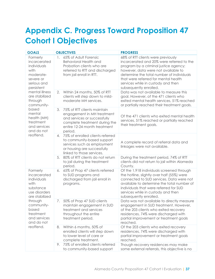# <span id="page-36-0"></span>**Appendix C. Progress Toward Proposition 47 Cohort I Objectives**

| <b>GOALS</b>                                                                                                                                                                                                                                                  | <b>OBJECTIVES</b>                                                                                                                                                           | <b>PROGRESS</b>                                                                                                                                                                                                                                                                                                      |
|---------------------------------------------------------------------------------------------------------------------------------------------------------------------------------------------------------------------------------------------------------------|-----------------------------------------------------------------------------------------------------------------------------------------------------------------------------|----------------------------------------------------------------------------------------------------------------------------------------------------------------------------------------------------------------------------------------------------------------------------------------------------------------------|
| Formerly<br>incarcerated<br>individuals<br>with<br>moderate-<br>severe or<br>serious and<br>persistent<br>mental illness<br>are stabilized<br>through<br>community-<br>based<br>mental<br>health (MH)<br>treatment<br>and services<br>and do not<br>reoffend. | 1. 65% of Adult Forensic<br><b>Behavioral Health and</b><br>Probation clients who are<br>referred to RTT and discharged<br>from jail enroll in RTT.                         | 68% of RTT clients were previously<br>incarcerated and 20% were referred to the<br>program by a criminal justice agency;<br>however, data were not available to<br>determine the total number of individuals<br>that were referred for mental health<br>services while in custody and then<br>subsequently enrolled. |
|                                                                                                                                                                                                                                                               | 2.<br>Within 24 months, 50% of RTT<br>clients will step down to mild-<br>moderate MH services.                                                                              | Data was not available to measure this<br>goal. However, of the 471 clients who<br>exited mental health services, 51% reached<br>or partially reached their treatment goals.                                                                                                                                         |
|                                                                                                                                                                                                                                                               | 3.<br>75% of RTT clients maintain<br>engagement in MH treatment<br>and services or successfully<br>complete treatment during the<br>entire 12-24 month treatment<br>period. | Of the 471 clients who exited mental health<br>services, 51% reached or partially reached<br>their treatment goals.                                                                                                                                                                                                  |
|                                                                                                                                                                                                                                                               | 4. 75% of enrolled clients referred<br>to community-based support<br>services such as employment<br>or housing are successfully<br>linked to those services.                | A complete record of referral data and<br>linkages were not available.                                                                                                                                                                                                                                               |
|                                                                                                                                                                                                                                                               | 80% of RTT clients do not return<br>5.<br>to jail during the treatment<br>period.                                                                                           | During the treatment period, 74% of RTT<br>clients did not return to jail within Alameda<br>County.                                                                                                                                                                                                                  |
| Formerly<br>incarcerated<br>individuals<br>with<br>substance<br>use disorders<br>are stabilized<br>through<br>community-<br>based<br>treatment<br>and services<br>and do not<br>reoffend.                                                                     | 65% of Prop 47 clients referred<br>6.<br>to SUD programs and<br>discharged from jail enroll in<br>programs.                                                                 | Of the 1,918 individuals screened through<br>the hotline, slightly over half (55%) were<br>connected to SUD services. Data were not<br>available to determine the total number of<br>individuals that were referred for SUD<br>services while in custody and then<br>subsequently enrolled.                          |
|                                                                                                                                                                                                                                                               | 50% of Prop 47 SUD clients<br>7.<br>maintain engagement in SUD<br>treatment and services<br>throughout the entire<br>treatment period.                                      | Data was not available to directly measure<br>engagement in SUD treatment. However,<br>of the 203 clients who exited recovery<br>residences, 74% were discharged with<br>partial improvement or treatment goals<br>reached.                                                                                          |
|                                                                                                                                                                                                                                                               | Within 6 months, 50% of<br>8.<br>enrolled clients will step down<br>to lower level of care or<br>complete treatment.                                                        | Of the 203 clients who exited recovery<br>residences, 74% were discharged with<br>partial improvement or treatment goals<br>reached.                                                                                                                                                                                 |
|                                                                                                                                                                                                                                                               | 75% of enrolled clients referred<br>9.<br>to community-based support                                                                                                        | Though recovery residences may make<br>some external referrals, this objective is no                                                                                                                                                                                                                                 |